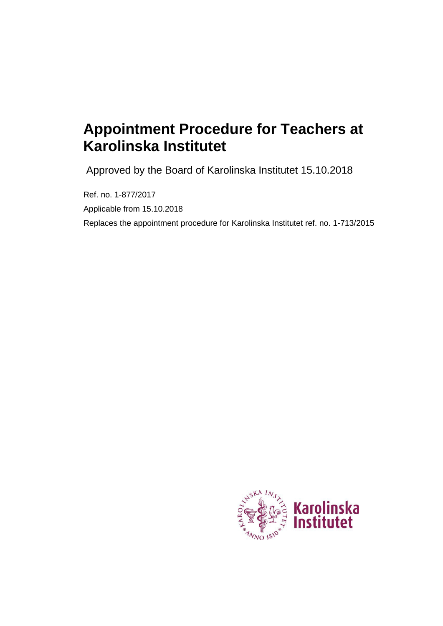# **Appointment Procedure for Teachers at Karolinska Institutet**

Approved by the Board of Karolinska Institutet 15.10.2018

Ref. no. 1-877/2017 Applicable from 15.10.2018 Replaces the appointment procedure for Karolinska Institutet ref. no. 1-713/2015

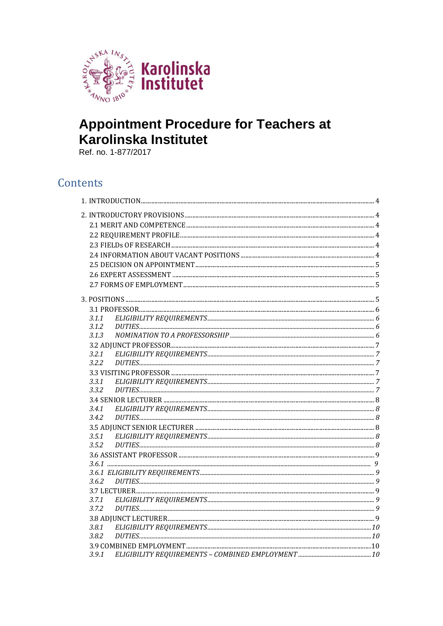

# **Appointment Procedure for Teachers at** Karolinska Institutet

Ref. no. 1-877/2017

# Contents

| 3.1.1          |  |
|----------------|--|
| 3.1.2          |  |
| 3.1.3          |  |
|                |  |
| 3.2.1          |  |
| 3.2.2          |  |
|                |  |
| 3.3.1          |  |
| 3.3.2          |  |
|                |  |
| 3.4.1<br>3.4.2 |  |
|                |  |
| 3.5.1          |  |
| 3.5.2          |  |
|                |  |
|                |  |
|                |  |
|                |  |
|                |  |
| 3.7.1          |  |
| 3.7.2          |  |
|                |  |
| 3.8.1          |  |
| 3.8.2          |  |
|                |  |
| 3.9.1          |  |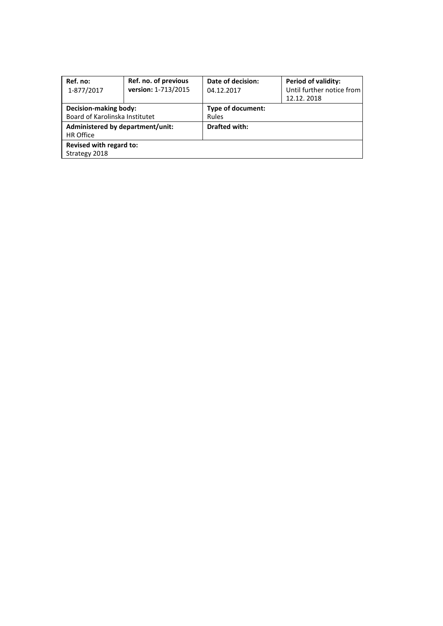| Ref. no:                         | Ref. no. of previous | Date of decision:    | <b>Period of validity:</b> |  |  |
|----------------------------------|----------------------|----------------------|----------------------------|--|--|
| 1-877/2017                       | version: 1-713/2015  | 04.12.2017           | Until further notice from  |  |  |
|                                  |                      |                      | 12.12.2018                 |  |  |
| Decision-making body:            |                      | Type of document:    |                            |  |  |
| Board of Karolinska Institutet   |                      | <b>Rules</b>         |                            |  |  |
| Administered by department/unit: |                      | <b>Drafted with:</b> |                            |  |  |
| <b>HR Office</b>                 |                      |                      |                            |  |  |
| Revised with regard to:          |                      |                      |                            |  |  |
| Strategy 2018                    |                      |                      |                            |  |  |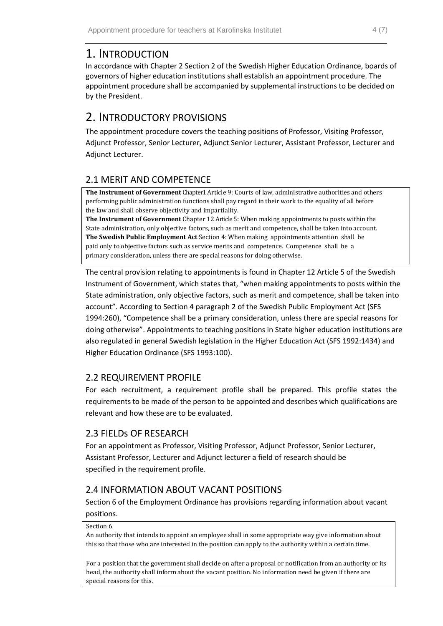# <span id="page-3-0"></span>1. INTRODUCTION

In accordance with Chapter 2 Section 2 of the Swedish Higher Education Ordinance, boards of governors of higher education institutions shall establish an appointment procedure. The appointment procedure shall be accompanied by supplemental instructions to be decided on by the President.

# <span id="page-3-1"></span>2. INTRODUCTORY PROVISIONS

The appointment procedure covers the teaching positions of Professor, Visiting Professor, Adjunct Professor, Senior Lecturer, Adjunct Senior Lecturer, Assistant Professor, Lecturer and Adjunct Lecturer.

# <span id="page-3-2"></span>2.1 MERIT AND COMPETENCE

**The Instrument of Government** Chapter1 Article 9: Courts of law, administrative authorities and others performing public administration functions shall pay regard in their work to the equality of all before the law and shall observe objectivity and impartiality.

**The Instrument of Government** Chapter 12 Article 5: When making appointments to posts within the State administration, only objective factors, such as merit and competence, shall be taken into account. **The Swedish Public Employment Act** Section 4: When making appointments attention shall be paid only to objective factors such as service merits and competence. Competence shall be a primary consideration, unless there are special reasons for doing otherwise.

The central provision relating to appointments is found in Chapter 12 Article 5 of the Swedish Instrument of Government, which states that, "when making appointments to posts within the State administration, only objective factors, such as merit and competence, shall be taken into account". According to Section 4 paragraph 2 of the Swedish Public Employment Act (SFS 1994:260), "Competence shall be a primary consideration, unless there are special reasons for doing otherwise". Appointments to teaching positions in State higher education institutions are also regulated in general Swedish legislation in the Higher Education Act (SFS 1992:1434) and Higher Education Ordinance (SFS 1993:100).

## <span id="page-3-3"></span>2.2 REQUIREMENT PROFILE

For each recruitment, a requirement profile shall be prepared. This profile states the requirements to be made of the person to be appointed and describes which qualifications are relevant and how these are to be evaluated.

# <span id="page-3-4"></span>2.3 FIELDs OF RESEARCH

For an appointment as Professor, Visiting Professor, Adjunct Professor, Senior Lecturer, Assistant Professor, Lecturer and Adjunct lecturer a field of research should be specified in the requirement profile.

# <span id="page-3-5"></span>2.4 INFORMATION ABOUT VACANT POSITIONS

Section 6 of the Employment Ordinance has provisions regarding information about vacant positions.

#### Section 6

An authority that intends to appoint an employee shall in some appropriate way give information about this so that those who are interested in the position can apply to the authority within a certain time.

For a position that the government shall decide on after a proposal or notification from an authority or its head, the authority shall inform about the vacant position. No information need be given if there are special reasons for this.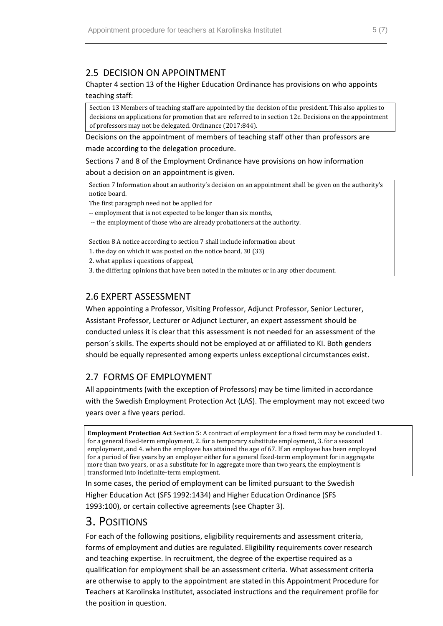### <span id="page-4-0"></span>2.5 DECISION ON APPOINTMENT

#### Chapter 4 section 13 of the Higher Education Ordinance has provisions on who appoints teaching staff:

Section 13 Members of teaching staff are appointed by the decision of the president. This also applies to decisions on applications for promotion that are referred to in section 12c. Decisions on the appointment of professors may not be delegated. Ordinance (2017:844).

Decisions on the appointment of members of teaching staff other than professors are made according to the delegation procedure.

Sections 7 and 8 of the Employment Ordinance have provisions on how information about a decision on an appointment is given.

Section 7 Information about an authority's decision on an appointment shall be given on the authority's notice board.

The first paragraph need not be applied for

-- employment that is not expected to be longer than six months,

-- the employment of those who are already probationers at the authority.

Section 8 A notice according to section 7 shall include information about

1. the day on which it was posted on the notice board, 30 (33)

2. what applies i questions of appeal,

3. the differing opinions that have been noted in the minutes or in any other document.

### <span id="page-4-1"></span>2.6 EXPERT ASSESSMENT

When appointing a Professor, Visiting Professor, Adjunct Professor, Senior Lecturer, Assistant Professor, Lecturer or Adjunct Lecturer, an expert assessment should be conducted unless it is clear that this assessment is not needed for an assessment of the person´s skills. The experts should not be employed at or affiliated to KI. Both genders should be equally represented among experts unless exceptional circumstances exist.

## <span id="page-4-2"></span>2.7 FORMS OF EMPLOYMENT

All appointments (with the exception of Professors) may be time limited in accordance with the Swedish Employment Protection Act (LAS). The employment may not exceed two years over a five years period.

**Employment Protection Act** Section 5: A contract of employment for a fixed term may be concluded 1. for a general fixed-term employment, 2. for a temporary substitute employment, 3. for a seasonal employment, and 4. when the employee has attained the age of 67. If an employee has been employed for a period of five years by an employer either for a general fixed-term employment for in aggregate more than two years, or as a substitute for in aggregate more than two years, the employment is transformed into indefinite-term employment.

In some cases, the period of employment can be limited pursuant to the Swedish Higher Education Act (SFS 1992:1434) and Higher Education Ordinance (SFS 1993:100), or certain collective agreements (see Chapter 3).

# <span id="page-4-3"></span>3. POSITIONS

For each of the following positions, eligibility requirements and assessment criteria, forms of employment and duties are regulated. Eligibility requirements cover research and teaching expertise. In recruitment, the degree of the expertise required as a qualification for employment shall be an assessment criteria. What assessment criteria are otherwise to apply to the appointment are stated in this Appointment Procedure for Teachers at Karolinska Institutet, associated instructions and the requirement profile for the position in question.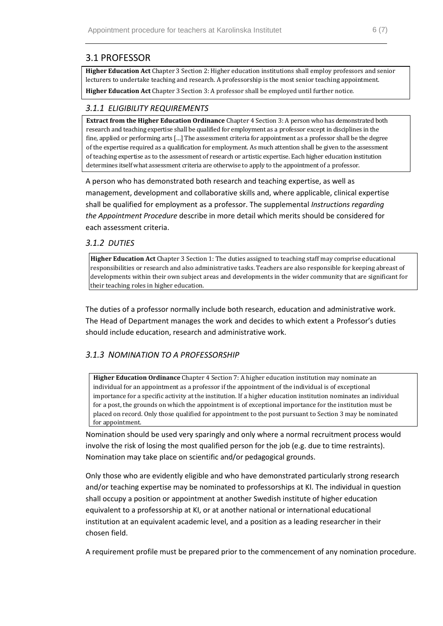### <span id="page-5-0"></span>3.1 PROFESSOR

**Higher Education Act** Chapter 3 Section 2: Higher education institutions shall employ professors and senior lecturers to undertake teaching and research. A professorship is the most senior teaching appointment.

**Higher Education Act** Chapter 3 Section 3: A professor shall be employed until further notice.

#### <span id="page-5-1"></span>*3.1.1 ELIGIBILITY REQUIREMENTS*

**Extract from the Higher Education Ordinance** Chapter 4 Section 3: A person who has demonstrated both research and teaching expertise shall be qualified for employment as a professor except in disciplines in the fine, applied or performing arts […] The assessment criteria for appointment as a professor shall be the degree of the expertise required as a qualification for employment. As much attention shall be given to the assessment of teaching expertise as to the assessment of research or artistic expertise. Each higher education institution determines itself what assessment criteria are otherwise to apply to the appointment of a professor.

A person who has demonstrated both research and teaching expertise, as well as management, development and collaborative skills and, where applicable, clinical expertise shall be qualified for employment as a professor. The supplemental *Instructions regarding the Appointment Procedure* describe in more detail which merits should be considered for each assessment criteria.

#### <span id="page-5-2"></span>*3.1.2 DUTIES*

**Higher Education Act** Chapter 3 Section 1: The duties assigned to teaching staff may comprise educational responsibilities or research and also administrative tasks. Teachers are also responsible for keeping abreast of developments within their own subject areas and developments in the wider community that are significant for their teaching roles in higher education.

The duties of a professor normally include both research, education and administrative work. The Head of Department manages the work and decides to which extent a Professor's duties should include education, research and administrative work.

#### <span id="page-5-3"></span>*3.1.3 NOMINATION TO A PROFESSORSHIP*

**Higher Education Ordinance** Chapter 4 Section 7: A higher education institution may nominate an individual for an appointment as a professor if the appointment of the individual is of exceptional importance for a specific activity at the institution. If a higher education institution nominates an individual for a post, the grounds on which the appointment is of exceptional importance for the institution must be placed on record. Only those qualified for appointment to the post pursuant to Section 3 may be nominated for appointment.

Nomination should be used very sparingly and only where a normal recruitment process would involve the risk of losing the most qualified person for the job (e.g. due to time restraints). Nomination may take place on scientific and/or pedagogical grounds.

Only those who are evidently eligible and who have demonstrated particularly strong research and/or teaching expertise may be nominated to professorships at KI. The individual in question shall occupy a position or appointment at another Swedish institute of higher education equivalent to a professorship at KI, or at another national or international educational institution at an equivalent academic level, and a position as a leading researcher in their chosen field.

A requirement profile must be prepared prior to the commencement of any nomination procedure.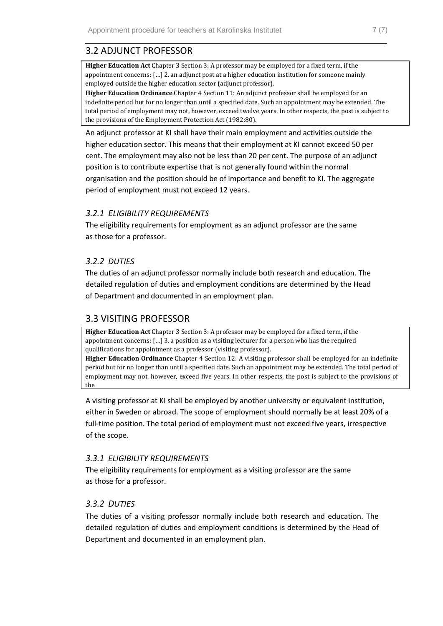## <span id="page-6-0"></span>3.2 ADJUNCT PROFESSOR

**Higher Education Act** Chapter 3 Section 3: A professor may be employed for a fixed term, if the appointment concerns: […] 2. an adjunct post at a higher education institution for someone mainly employed outside the higher education sector (adjunct professor).

**Higher Education Ordinance** Chapter 4 Section 11: An adjunct professor shall be employed for an indefinite period but for no longer than until a specified date. Such an appointment may be extended. The total period of employment may not, however, exceed twelve years. In other respects, the post is subject to the provisions of the Employment Protection Act (1982:80).

An adjunct professor at KI shall have their main employment and activities outside the higher education sector. This means that their employment at KI cannot exceed 50 per cent. The employment may also not be less than 20 per cent. The purpose of an adjunct position is to contribute expertise that is not generally found within the normal organisation and the position should be of importance and benefit to KI. The aggregate period of employment must not exceed 12 years.

#### <span id="page-6-1"></span>*3.2.1 ELIGIBILITY REQUIREMENTS*

The eligibility requirements for employment as an adjunct professor are the same as those for a professor.

#### <span id="page-6-2"></span>*3.2.2 DUTIES*

The duties of an adjunct professor normally include both research and education. The detailed regulation of duties and employment conditions are determined by the Head of Department and documented in an employment plan.

#### <span id="page-6-3"></span>3.3 VISITING PROFESSOR

**Higher Education Act** Chapter 3 Section 3: A professor may be employed for a fixed term, if the appointment concerns: […] 3. a position as a visiting lecturer for a person who has the required qualifications for appointment as a professor (visiting professor).

**Higher Education Ordinance** Chapter 4 Section 12: A visiting professor shall be employed for an indefinite period but for no longer than until a specified date. Such an appointment may be extended. The total period of employment may not, however, exceed five years. In other respects, the post is subject to the provisions of the

A visiting professor at KI shall be employed by another university or equivalent institution, either in Sweden or abroad. The scope of employment should normally be at least 20% of a full-time position. The total period of employment must not exceed five years, irrespective of the scope.

#### <span id="page-6-4"></span>*3.3.1 ELIGIBILITY REQUIREMENTS*

The eligibility requirements for employment as a visiting professor are the same as those for a professor.

#### <span id="page-6-5"></span>*3.3.2 DUTIES*

The duties of a visiting professor normally include both research and education. The detailed regulation of duties and employment conditions is determined by the Head of Department and documented in an employment plan.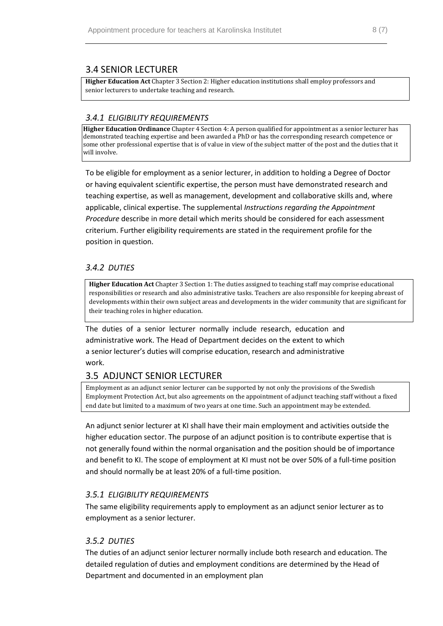### <span id="page-7-0"></span>3.4 SENIOR LECTURER

**Higher Education Act** Chapter 3 Section 2: Higher education institutions shall employ professors and senior lecturers to undertake teaching and research.

#### <span id="page-7-1"></span>*3.4.1 ELIGIBILITY REQUIREMENTS*

**Higher Education Ordinance** Chapter 4 Section 4: A person qualified for appointment as a senior lecturer has demonstrated teaching expertise and been awarded a PhD or has the corresponding research competence or some other professional expertise that is of value in view of the subject matter of the post and the duties that it will involve.

To be eligible for employment as a senior lecturer, in addition to holding a Degree of Doctor or having equivalent scientific expertise, the person must have demonstrated research and teaching expertise, as well as management, development and collaborative skills and, where applicable, clinical expertise. The supplemental *Instructions regarding the Appointment Procedure* describe in more detail which merits should be considered for each assessment criterium. Further eligibility requirements are stated in the requirement profile for the position in question.

#### <span id="page-7-2"></span>*3.4.2 DUTIES*

**Higher Education Act** Chapter 3 Section 1: The duties assigned to teaching staff may comprise educational responsibilities or research and also administrative tasks. Teachers are also responsible for keeping abreast of developments within their own subject areas and developments in the wider community that are significant for their teaching roles in higher education.

The duties of a senior lecturer normally include research, education and administrative work. The Head of Department decides on the extent to which a senior lecturer's duties will comprise education, research and administrative work.

#### <span id="page-7-3"></span>3.5 ADJUNCT SENIOR LECTURER

Employment as an adjunct senior lecturer can be supported by not only the provisions of the Swedish Employment Protection Act, but also agreements on the appointment of adjunct teaching staff without a fixed end date but limited to a maximum of two years at one time. Such an appointment may be extended.

An adjunct senior lecturer at KI shall have their main employment and activities outside the higher education sector. The purpose of an adjunct position is to contribute expertise that is not generally found within the normal organisation and the position should be of importance and benefit to KI. The scope of employment at KI must not be over 50% of a full-time position and should normally be at least 20% of a full-time position.

#### <span id="page-7-4"></span>*3.5.1 ELIGIBILITY REQUIREMENTS*

The same eligibility requirements apply to employment as an adjunct senior lecturer as to employment as a senior lecturer.

#### <span id="page-7-5"></span>*3.5.2 DUTIES*

The duties of an adjunct senior lecturer normally include both research and education. The detailed regulation of duties and employment conditions are determined by the Head of Department and documented in an employment plan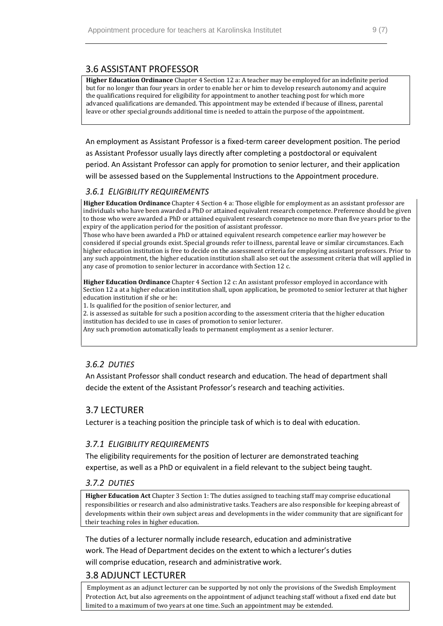### <span id="page-8-0"></span>3.6 ASSISTANT PROFESSOR

**Higher Education Ordinance** Chapter 4 Section 12 a: A teacher may be employed for an indefinite period but for no longer than four years in order to enable her or him to develop research autonomy and acquire the qualifications required for eligibility for appointment to another teaching post for which more advanced qualifications are demanded. This appointment may be extended if because of illness, parental leave or other special grounds additional time is needed to attain the purpose of the appointment.

An employment as Assistant Professor is a fixed-term career development position. The period as Assistant Professor usually lays directly after completing a postdoctoral or equivalent period. An Assistant Professor can apply for promotion to senior lecturer, and their application will be assessed based on the Supplemental Instructions to the Appointment procedure.

#### <span id="page-8-1"></span>*3.6.1 ELIGIBILITY REQUIREMENTS*

**Higher Education Ordinance** Chapter 4 Section 4 a: Those eligible for employment as an assistant professor are individuals who have been awarded a PhD or attained equivalent research competence. Preference should be given to those who were awarded a PhD or attained equivalent research competence no more than five years prior to the expiry of the application period for the position of assistant professor.

Those who have been awarded a PhD or attained equivalent research competence earlier may however be considered if special grounds exist. Special grounds refer to illness, parental leave or similar circumstances. Each higher education institution is free to decide on the assessment criteria for employing assistant professors. Prior to any such appointment, the higher education institution shall also set out the assessment criteria that will applied in any case of promotion to senior lecturer in accordance with Section 12 c.

**Higher Education Ordinance** Chapter 4 Section 12 c: An assistant professor employed in accordance with Section 12 a at a higher education institution shall, upon application, be promoted to senior lecturer at that higher education institution if she or he:

1. Is qualified for the position of senior lecturer, and

2. is assessed as suitable for such a position according to the assessment criteria that the higher education institution has decided to use in cases of promotion to senior lecturer.

Any such promotion automatically leads to permanent employment as a senior lecturer.

#### <span id="page-8-2"></span>*3.6.2 DUTIES*

An Assistant Professor shall conduct research and education. The head of department shall decide the extent of the Assistant Professor's research and teaching activities.

#### <span id="page-8-3"></span>3.7 LECTURER

Lecturer is a teaching position the principle task of which is to deal with education.

#### <span id="page-8-4"></span>*3.7.1 ELIGIBILITY REQUIREMENTS*

The eligibility requirements for the position of lecturer are demonstrated teaching expertise, as well as a PhD or equivalent in a field relevant to the subject being taught.

#### <span id="page-8-5"></span>*3.7.2 DUTIES*

**Higher Education Act** Chapter 3 Section 1: The duties assigned to teaching staff may comprise educational responsibilities or research and also administrative tasks. Teachers are also responsible for keeping abreast of developments within their own subject areas and developments in the wider community that are significant for their teaching roles in higher education.

The duties of a lecturer normally include research, education and administrative work. The Head of Department decides on the extent to which a lecturer's duties will comprise education, research and administrative work.

### <span id="page-8-6"></span>3.8 ADJUNCT LECTURER

Employment as an adjunct lecturer can be supported by not only the provisions of the Swedish Employment Protection Act, but also agreements on the appointment of adjunct teaching staff without a fixed end date but limited to a maximum of two years at one time. Such an appointment may be extended.